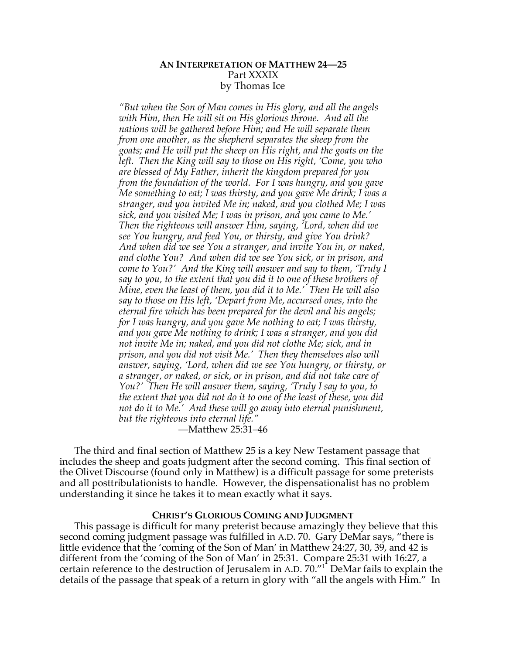# **AN INTERPRETATION OF MATTHEW 24—25** Part XXXIX by Thomas Ice

*"But when the Son of Man comes in His glory, and all the angels with Him, then He will sit on His glorious throne. And all the nations will be gathered before Him; and He will separate them from one another, as the shepherd separates the sheep from the goats; and He will put the sheep on His right, and the goats on the left. Then the King will say to those on His right, 'Come, you who are blessed of My Father, inherit the kingdom prepared for you from the foundation of the world. For I was hungry, and you gave Me something to eat; I was thirsty, and you gave Me drink; I was a stranger, and you invited Me in; naked, and you clothed Me; I was sick, and you visited Me; I was in prison, and you came to Me.' Then the righteous will answer Him, saying, 'Lord, when did we see You hungry, and feed You, or thirsty, and give You drink? And when did we see You a stranger, and invite You in, or naked, and clothe You? And when did we see You sick, or in prison, and come to You?' And the King will answer and say to them, 'Truly I say to you, to the extent that you did it to one of these brothers of Mine, even the least of them, you did it to Me.' Then He will also say to those on His left, 'Depart from Me, accursed ones, into the eternal fire which has been prepared for the devil and his angels; for I was hungry, and you gave Me nothing to eat; I was thirsty, and you gave Me nothing to drink; I was a stranger, and you did not invite Me in; naked, and you did not clothe Me; sick, and in prison, and you did not visit Me.' Then they themselves also will answer, saying, 'Lord, when did we see You hungry, or thirsty, or a stranger, or naked, or sick, or in prison, and did not take care of You?' Then He will answer them, saying, 'Truly I say to you, to the extent that you did not do it to one of the least of these, you did not do it to Me.' And these will go away into eternal punishment, but the righteous into eternal life."*

—Matthew 25:31–46

The third and final section of Matthew 25 is a key New Testament passage that includes the sheep and goats judgment after the second coming. This final section of the Olivet Discourse (found only in Matthew) is a difficult passage for some preterists and all posttribulationists to handle. However, the dispensationalist has no problem understanding it since he takes it to mean exactly what it says.

## **CHRIST'S GLORIOUS COMING AND JUDGMENT**

This passage is difficult for many preterist because amazingly they believe that this second coming judgment passage was fulfilled in A.D. 70. Gary DeMar says, "there is little evidence that the 'coming of the Son of Man' in Matthew 24:27, 30, 39, and 42 is different from the 'coming of the Son of Man' in 25:31. Compare 25:31 with 16:27, a certain reference to the destruction of Jerusalem in A.D. 70."<sup>1</sup> DeMar fails to explain the details of the passage that speak of a return in glory with "all the angels with Him." In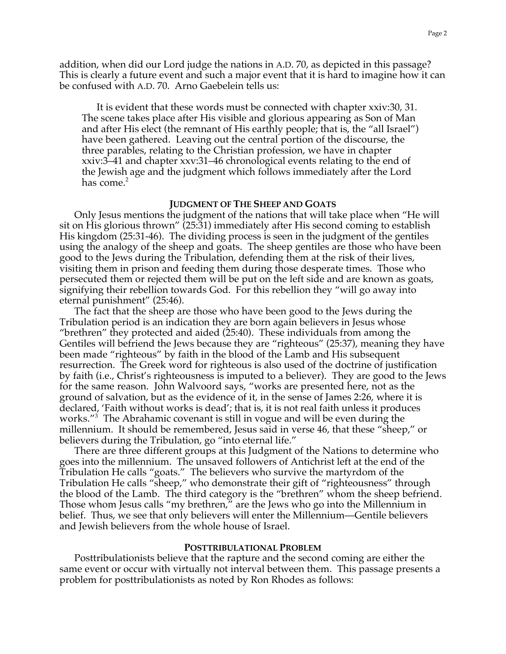addition, when did our Lord judge the nations in A.D. 70, as depicted in this passage? This is clearly a future event and such a major event that it is hard to imagine how it can be confused with A.D. 70. Arno Gaebelein tells us:

It is evident that these words must be connected with chapter xxiv:30, 31. The scene takes place after His visible and glorious appearing as Son of Man and after His elect (the remnant of His earthly people; that is, the "all Israel") have been gathered. Leaving out the central portion of the discourse, the three parables, relating to the Christian profession, we have in chapter xxiv:3–41 and chapter xxv:31–46 chronological events relating to the end of the Jewish age and the judgment which follows immediately after the Lord has come. $2$ 

#### **JUDGMENT OF THE SHEEP AND GOATS**

Only Jesus mentions the judgment of the nations that will take place when "He will sit on His glorious thrown" (25:31) immediately after His second coming to establish His kingdom (25:31-46). The dividing process is seen in the judgment of the gentiles using the analogy of the sheep and goats. The sheep gentiles are those who have been good to the Jews during the Tribulation, defending them at the risk of their lives, visiting them in prison and feeding them during those desperate times. Those who persecuted them or rejected them will be put on the left side and are known as goats, signifying their rebellion towards God. For this rebellion they "will go away into eternal punishment" (25:46).

The fact that the sheep are those who have been good to the Jews during the Tribulation period is an indication they are born again believers in Jesus whose "brethren" they protected and aided (25:40). These individuals from among the Gentiles will befriend the Jews because they are "righteous" (25:37), meaning they have been made "righteous" by faith in the blood of the Lamb and His subsequent resurrection. The Greek word for righteous is also used of the doctrine of justification by faith (i.e., Christ's righteousness is imputed to a believer). They are good to the Jews for the same reason. John Walvoord says, "works are presented here, not as the ground of salvation, but as the evidence of it, in the sense of James 2:26, where it is declared, 'Faith without works is dead'; that is, it is not real faith unless it produces works."3 The Abrahamic covenant is still in vogue and will be even during the millennium. It should be remembered, Jesus said in verse 46, that these "sheep," or believers during the Tribulation, go "into eternal life."

There are three different groups at this Judgment of the Nations to determine who goes into the millennium. The unsaved followers of Antichrist left at the end of the Tribulation He calls "goats." The believers who survive the martyrdom of the Tribulation He calls "sheep," who demonstrate their gift of "righteousness" through the blood of the Lamb. The third category is the "brethren" whom the sheep befriend. Those whom Jesus calls "my brethren," are the Jews who go into the Millennium in belief. Thus, we see that only believers will enter the Millennium—Gentile believers and Jewish believers from the whole house of Israel.

#### **POSTTRIBULATIONAL PROBLEM**

Posttribulationists believe that the rapture and the second coming are either the same event or occur with virtually not interval between them. This passage presents a problem for posttribulationists as noted by Ron Rhodes as follows: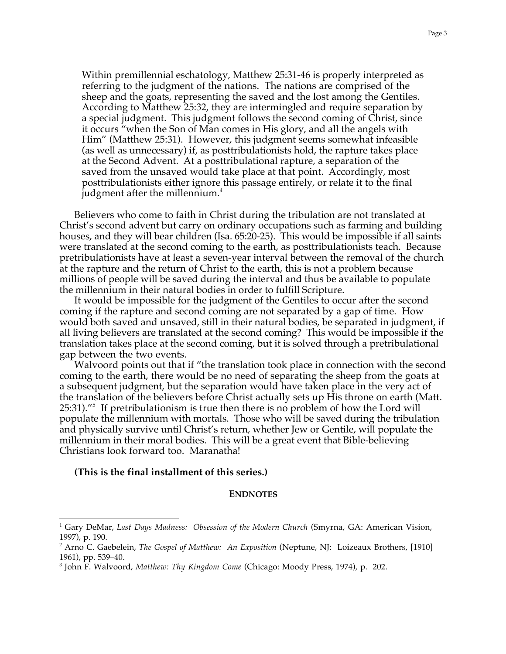Within premillennial eschatology, Matthew 25:31-46 is properly interpreted as referring to the judgment of the nations. The nations are comprised of the sheep and the goats, representing the saved and the lost among the Gentiles. According to Matthew 25:32, they are intermingled and require separation by a special judgment. This judgment follows the second coming of Christ, since it occurs "when the Son of Man comes in His glory, and all the angels with Him" (Matthew 25:31). However, this judgment seems somewhat infeasible (as well as unnecessary) if, as posttribulationists hold, the rapture takes place at the Second Advent. At a posttribulational rapture, a separation of the saved from the unsaved would take place at that point. Accordingly, most posttribulationists either ignore this passage entirely, or relate it to the final judgment after the millennium.<sup>4</sup>

Believers who come to faith in Christ during the tribulation are not translated at Christ's second advent but carry on ordinary occupations such as farming and building houses, and they will bear children (Isa. 65:20-25). This would be impossible if all saints were translated at the second coming to the earth, as posttribulationists teach. Because pretribulationists have at least a seven-year interval between the removal of the church at the rapture and the return of Christ to the earth, this is not a problem because millions of people will be saved during the interval and thus be available to populate the millennium in their natural bodies in order to fulfill Scripture.

It would be impossible for the judgment of the Gentiles to occur after the second coming if the rapture and second coming are not separated by a gap of time. How would both saved and unsaved, still in their natural bodies, be separated in judgment, if all living believers are translated at the second coming? This would be impossible if the translation takes place at the second coming, but it is solved through a pretribulational gap between the two events.

Walvoord points out that if "the translation took place in connection with the second coming to the earth, there would be no need of separating the sheep from the goats at a subsequent judgment, but the separation would have taken place in the very act of the translation of the believers before Christ actually sets up His throne on earth (Matt. 25:31)."<sup>5</sup> If pretribulationism is true then there is no problem of how the Lord will populate the millennium with mortals. Those who will be saved during the tribulation and physically survive until Christ's return, whether Jew or Gentile, will populate the millennium in their moral bodies. This will be a great event that Bible-believing Christians look forward too. Maranatha!

## **(This is the final installment of this series.)**

 $\overline{a}$ 

#### **ENDNOTES**

<sup>1</sup> Gary DeMar, *Last Days Madness: Obsession of the Modern Church* (Smyrna, GA: American Vision, 1997), p. 190.

<sup>2</sup> Arno C. Gaebelein, *The Gospel of Matthew: An Exposition* (Neptune, NJ: Loizeaux Brothers, [1910] 1961), pp. 539–40.

<sup>3</sup> John F. Walvoord, *Matthew: Thy Kingdom Come* (Chicago: Moody Press, 1974), p. 202.